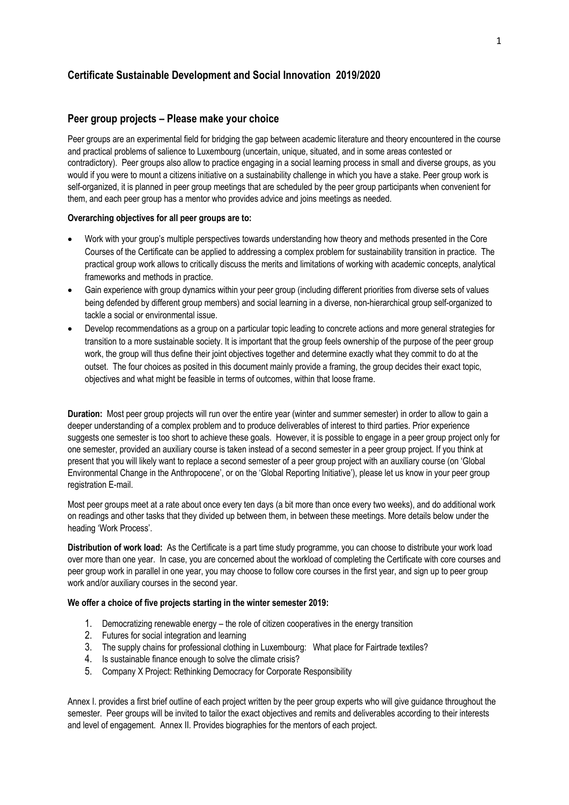#### **Certificate Sustainable Development and Social Innovation 2019/2020**

#### **Peer group projects – Please make your choice**

Peer groups are an experimental field for bridging the gap between academic literature and theory encountered in the course and practical problems of salience to Luxembourg (uncertain, unique, situated, and in some areas contested or contradictory). Peer groups also allow to practice engaging in a social learning process in small and diverse groups, as you would if you were to mount a citizens initiative on a sustainability challenge in which you have a stake. Peer group work is self-organized, it is planned in peer group meetings that are scheduled by the peer group participants when convenient for them, and each peer group has a mentor who provides advice and joins meetings as needed.

#### **Overarching objectives for all peer groups are to:**

- Work with your group's multiple perspectives towards understanding how theory and methods presented in the Core Courses of the Certificate can be applied to addressing a complex problem for sustainability transition in practice. The practical group work allows to critically discuss the merits and limitations of working with academic concepts, analytical frameworks and methods in practice.
- Gain experience with group dynamics within your peer group (including different priorities from diverse sets of values being defended by different group members) and social learning in a diverse, non-hierarchical group self-organized to tackle a social or environmental issue.
- Develop recommendations as a group on a particular topic leading to concrete actions and more general strategies for transition to a more sustainable society. It is important that the group feels ownership of the purpose of the peer group work, the group will thus define their joint objectives together and determine exactly what they commit to do at the outset. The four choices as posited in this document mainly provide a framing, the group decides their exact topic, objectives and what might be feasible in terms of outcomes, within that loose frame.

**Duration:** Most peer group projects will run over the entire year (winter and summer semester) in order to allow to gain a deeper understanding of a complex problem and to produce deliverables of interest to third parties. Prior experience suggests one semester is too short to achieve these goals. However, it is possible to engage in a peer group project only for one semester, provided an auxiliary course is taken instead of a second semester in a peer group project. If you think at present that you will likely want to replace a second semester of a peer group project with an auxiliary course (on 'Global Environmental Change in the Anthropocene', or on the 'Global Reporting Initiative'), please let us know in your peer group registration E-mail.

Most peer groups meet at a rate about once every ten days (a bit more than once every two weeks), and do additional work on readings and other tasks that they divided up between them, in between these meetings. More details below under the heading 'Work Process'.

**Distribution of work load:** As the Certificate is a part time study programme, you can choose to distribute your work load over more than one year. In case, you are concerned about the workload of completing the Certificate with core courses and peer group work in parallel in one year, you may choose to follow core courses in the first year, and sign up to peer group work and/or auxiliary courses in the second year.

#### **We offer a choice of five projects starting in the winter semester 2019:**

- 1. Democratizing renewable energy the role of citizen cooperatives in the energy transition
- 2. Futures for social integration and learning
- 3. The supply chains for professional clothing in Luxembourg: What place for Fairtrade textiles?
- 4. Is sustainable finance enough to solve the climate crisis?
- 5. Company X Project: Rethinking Democracy for Corporate Responsibility

Annex I. provides a first brief outline of each project written by the peer group experts who will give guidance throughout the semester. Peer groups will be invited to tailor the exact objectives and remits and deliverables according to their interests and level of engagement. Annex II. Provides biographies for the mentors of each project.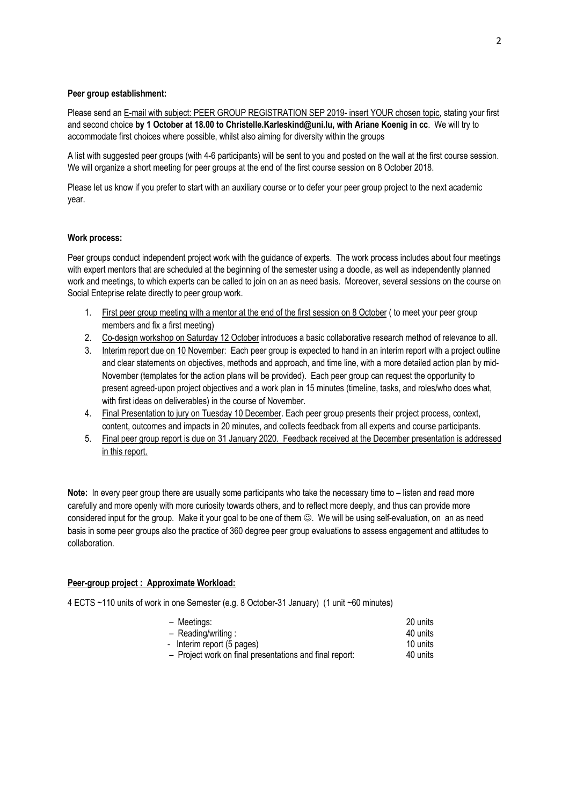#### **Peer group establishment:**

Please send an E-mail with subject: PEER GROUP REGISTRATION SEP 2019- insert YOUR chosen topic, stating your first and second choice **by 1 October at 18.00 to Christelle.Karleskind@uni.lu, with Ariane Koenig in cc**. We will try to accommodate first choices where possible, whilst also aiming for diversity within the groups

A list with suggested peer groups (with 4-6 participants) will be sent to you and posted on the wall at the first course session. We will organize a short meeting for peer groups at the end of the first course session on 8 October 2018.

Please let us know if you prefer to start with an auxiliary course or to defer your peer group project to the next academic year.

#### **Work process:**

Peer groups conduct independent project work with the guidance of experts. The work process includes about four meetings with expert mentors that are scheduled at the beginning of the semester using a doodle, as well as independently planned work and meetings, to which experts can be called to join on an as need basis. Moreover, several sessions on the course on Social Enteprise relate directly to peer group work.

- 1. First peer group meeting with a mentor at the end of the first session on 8 October (to meet your peer group members and fix a first meeting)
- 2. Co-design workshop on Saturday 12 October introduces a basic collaborative research method of relevance to all.
- 3. Interim report due on 10 November: Each peer group is expected to hand in an interim report with a project outline and clear statements on objectives, methods and approach, and time line, with a more detailed action plan by mid-November (templates for the action plans will be provided). Each peer group can request the opportunity to present agreed-upon project objectives and a work plan in 15 minutes (timeline, tasks, and roles/who does what, with first ideas on deliverables) in the course of November.
- 4. Final Presentation to jury on Tuesday 10 December. Each peer group presents their project process, context, content, outcomes and impacts in 20 minutes, and collects feedback from all experts and course participants.
- 5. Final peer group report is due on 31 January 2020. Feedback received at the December presentation is addressed in this report.

**Note:** In every peer group there are usually some participants who take the necessary time to – listen and read more carefully and more openly with more curiosity towards others, and to reflect more deeply, and thus can provide more considered input for the group. Make it your goal to be one of them  $\heartsuit$ . We will be using self-evaluation, on an as need basis in some peer groups also the practice of 360 degree peer group evaluations to assess engagement and attitudes to collaboration.

#### **Peer-group project : Approximate Workload:**

4 ECTS ~110 units of work in one Semester (e.g. 8 October-31 January) (1 unit ~60 minutes)

| - Meetings:                                             | 20 units |
|---------------------------------------------------------|----------|
| $-$ Reading/writing :                                   | 40 units |
| - Interim report (5 pages)                              | 10 units |
| - Project work on final presentations and final report: | 40 units |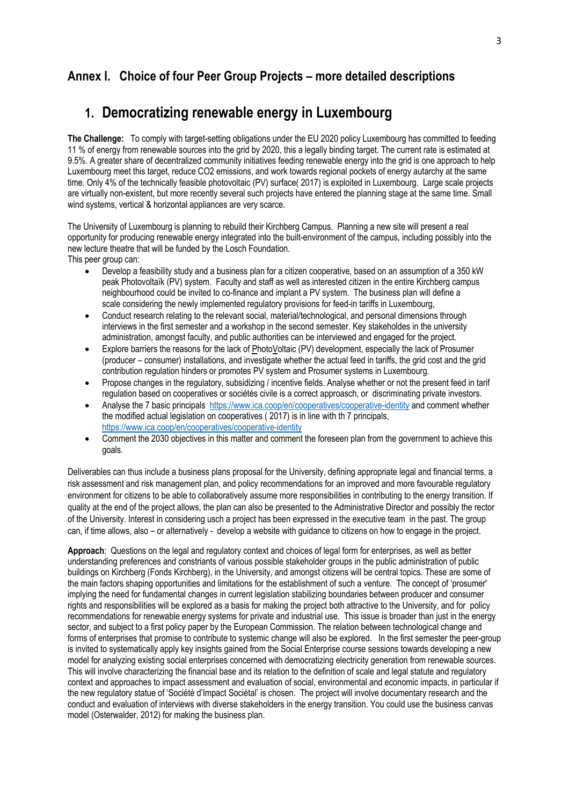## **Annex I. Choice of four Peer Group Projects – more detailed descriptions**

## **1. Democratizing renewable energy in Luxembourg**

**The Challenge:** To comply with target-setting obligations under the EU 2020 policy Luxembourg has committed to feeding 11 % of energy from renewable sources into the grid by 2020, this a legally binding target. The current rate is estimated at 9.5%. A greater share of decentralized community initiatives feeding renewable energy into the grid is one approach to help Luxembourg meet this target, reduce CO2 emissions, and work towards regional pockets of energy autarchy at the same time. Only 4% of the technically feasible photovoltaic (PV) surface( 2017) is exploited in Luxembourg. Large scale projects are virtually non-existent, but more recently several such projects have entered the planning stage at the same time. Small wind systems, vertical & horizontal appliances are very scarce.

The University of Luxembourg is planning to rebuild their Kirchberg Campus. Planning a new site will present a real opportunity for producing renewable energy integrated into the built-environment of the campus, including possibly into the new lecture theatre that will be funded by the Losch Foundation. This peer group can:

- Develop a feasibility study and a business plan for a citizen cooperative, based on an assumption of a 350 kW peak Photovoltaïk (PV) system. Faculty and staff as well as interested citizen in the entire Kirchberg campus neighbourhood could be invited to co-finance and implant a PV system. The business plan will define a scale considering the newly implemented regulatory provisions for feed-in tariffs in Luxembourg,
- Conduct research relating to the relevant social, material/technological, and personal dimensions through interviews in the first semester and a workshop in the second semester. Key stakeholdes in the university administration, amongst faculty, and public authorities can be interviewed and engaged for the project.
- Explore barriers the reasons for the lack of PhotoVoltaic (PV) development, especially the lack of Prosumer (producer – consumer) installations, and investigate whether the actual feed in tariffs, the grid cost and the grid contribution regulation hinders or promotes PV system and Prosumer systems in Luxembourg.
- Propose changes in the regulatory, subsidizing / incentive fields. Analyse whether or not the present feed in tarif regulation based on cooperatives or sociétés civile is a correct approasch, or discriminating private investors.
- Analyse the 7 basic principals https://www.ica.coop/en/cooperatives/cooperative-identity and comment whether the modified actual legislation on cooperatives ( 2017) is in line with th 7 principals, https://www.ica.coop/en/cooperatives/cooperative-identity
- Comment the 2030 objectives in this matter and comment the foreseen plan from the government to achieve this goals.

Deliverables can thus include a business plans proposal for the University, defining appropriate legal and financial terms, a risk assessment and risk management plan, and policy recommendations for an improved and more favourable regulatory environment for citizens to be able to collaboratively assume more responsibilities in contributing to the energy transition. If quality at the end of the project allows, the plan can also be presented to the Administrative Director and possibly the rector of the University. Interest in considering usch a project has been expressed in the executive team in the past. The group can, if time allows, also – or alternatively - develop a website with guidance to citizens on how to engage in the project.

**Approach**: Questions on the legal and regulatory context and choices of legal form for enterprises, as well as better understanding preferences and constriants of various possible stakeholder groups in the public administration of public buildings on Kirchberg (Fonds Kirchberg), in the University, and amongst citizens will be central topics. These are some of the main factors shaping opportunities and limitations for the establishment of such a venture. The concept of 'prosumer' implying the need for fundamental changes in current legislation stabilizing boundaries between producer and consumer rights and responsibilities will be explored as a basis for making the project both attractive to the University, and for policy recommendations for renewable energy systems for private and industrial use. This issue is broader than just in the energy sector, and subject to a first policy paper by the European Commission. The relation between technological change and forms of enterprises that promise to contribute to systemic change will also be explored. In the first semester the peer-group is invited to systematically apply key insights gained from the Social Enterprise course sessions towards developing a new model for analyzing existing social enterprises concerned with democratizing electricity generation from renewable sources. This will involve characterizing the financial base and its relation to the definition of scale and legal statute and regulatory context and approaches to impact assessment and evaluation of social, environmental and economic impacts, in particular if the new regulatory statue of 'Société d'Impact Sociétal' is chosen. The project will involve documentary research and the conduct and evaluation of interviews with diverse stakeholders in the energy transition. You could use the business canvas model (Osterwalder, 2012) for making the business plan.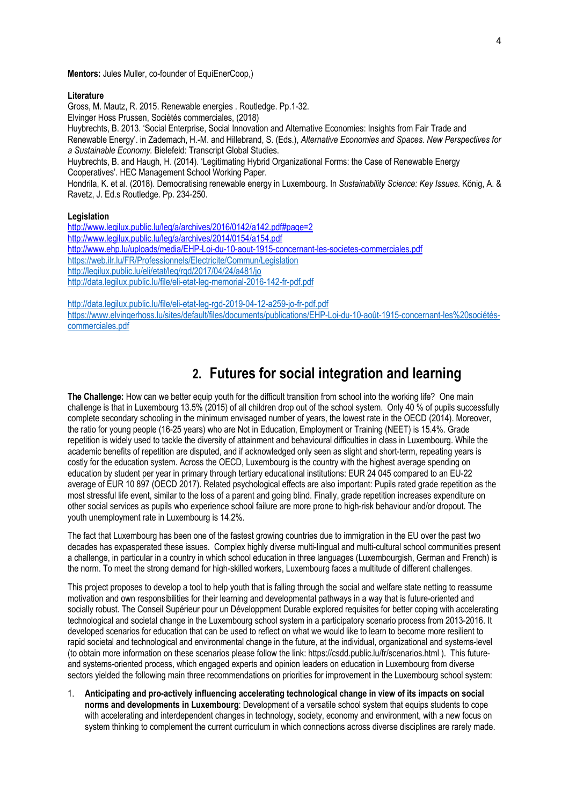**Mentors:** Jules Muller, co-founder of EquiEnerCoop,)

#### **Literature**

Gross, M. Mautz, R. 2015. Renewable energies . Routledge. Pp.1-32. Elvinger Hoss Prussen, Sociétés commerciales, (2018) Huybrechts, B. 2013. 'Social Enterprise, Social Innovation and Alternative Economies: Insights from Fair Trade and Renewable Energy'. in Zademach, H.-M. and Hillebrand, S. (Eds.), *Alternative Economies and Spaces. New Perspectives for a Sustainable Economy.* Bielefeld: Transcript Global Studies. Huybrechts, B. and Haugh, H. (2014). 'Legitimating Hybrid Organizational Forms: the Case of Renewable Energy Cooperatives'. HEC Management School Working Paper. Hondrila, K. et al. (2018). Democratising renewable energy in Luxembourg. In *Sustainability Science: Key Issues*. König, A. & Ravetz, J. Ed.s Routledge. Pp. 234-250.

#### **Legislation**

http://www.legilux.public.lu/leg/a/archives/2016/0142/a142.pdf#page=2 http://www.legilux.public.lu/leg/a/archives/2014/0154/a154.pdf http://www.ehp.lu/uploads/media/EHP-Loi-du-10-aout-1915-concernant-les-societes-commerciales.pdf https://web.ilr.lu/FR/Professionnels/Electricite/Commun/Legislation http://legilux.public.lu/eli/etat/leg/rgd/2017/04/24/a481/jo http://data.legilux.public.lu/file/eli-etat-leg-memorial-2016-142-fr-pdf.pdf

http://data.legilux.public.lu/file/eli-etat-leg-rgd-2019-04-12-a259-io-fr-pdf.pdf https://www.elvingerhoss.lu/sites/default/files/documents/publications/EHP-Loi-du-10-août-1915-concernant-les%20sociétéscommerciales.pdf

## **2. Futures for social integration and learning**

**The Challenge:** How can we better equip youth for the difficult transition from school into the working life? One main challenge is that in Luxembourg 13.5% (2015) of all children drop out of the school system. Only 40 % of pupils successfully complete secondary schooling in the minimum envisaged number of years, the lowest rate in the OECD (2014). Moreover, the ratio for young people (16-25 years) who are Not in Education, Employment or Training (NEET) is 15.4%. Grade repetition is widely used to tackle the diversity of attainment and behavioural difficulties in class in Luxembourg. While the academic benefits of repetition are disputed, and if acknowledged only seen as slight and short-term, repeating years is costly for the education system. Across the OECD, Luxembourg is the country with the highest average spending on education by student per year in primary through tertiary educational institutions: EUR 24 045 compared to an EU-22 average of EUR 10 897 (OECD 2017). Related psychological effects are also important: Pupils rated grade repetition as the most stressful life event, similar to the loss of a parent and going blind. Finally, grade repetition increases expenditure on other social services as pupils who experience school failure are more prone to high-risk behaviour and/or dropout. The youth unemployment rate in Luxembourg is 14.2%.

The fact that Luxembourg has been one of the fastest growing countries due to immigration in the EU over the past two decades has expasperated these issues. Complex highly diverse multi-lingual and multi-cultural school communities present a challenge, in particular in a country in which school education in three languages (Luxembourgish, German and French) is the norm. To meet the strong demand for high-skilled workers, Luxembourg faces a multitude of different challenges.

This project proposes to develop a tool to help youth that is falling through the social and welfare state netting to reassume motivation and own responsibilities for their learning and developmental pathways in a way that is future-oriented and socially robust. The Conseil Supérieur pour un Développment Durable explored requisites for better coping with accelerating technological and societal change in the Luxembourg school system in a participatory scenario process from 2013-2016. It developed scenarios for education that can be used to reflect on what we would like to learn to become more resilient to rapid societal and technological and environmental change in the future, at the individual, organizational and systems-level (to obtain more information on these scenarios please follow the link: https://csdd.public.lu/fr/scenarios.html ). This futureand systems-oriented process, which engaged experts and opinion leaders on education in Luxembourg from diverse sectors yielded the following main three recommendations on priorities for improvement in the Luxembourg school system:

1. **Anticipating and pro-actively influencing accelerating technological change in view of its impacts on social norms and developments in Luxembourg**: Development of a versatile school system that equips students to cope with accelerating and interdependent changes in technology, society, economy and environment, with a new focus on system thinking to complement the current curriculum in which connections across diverse disciplines are rarely made.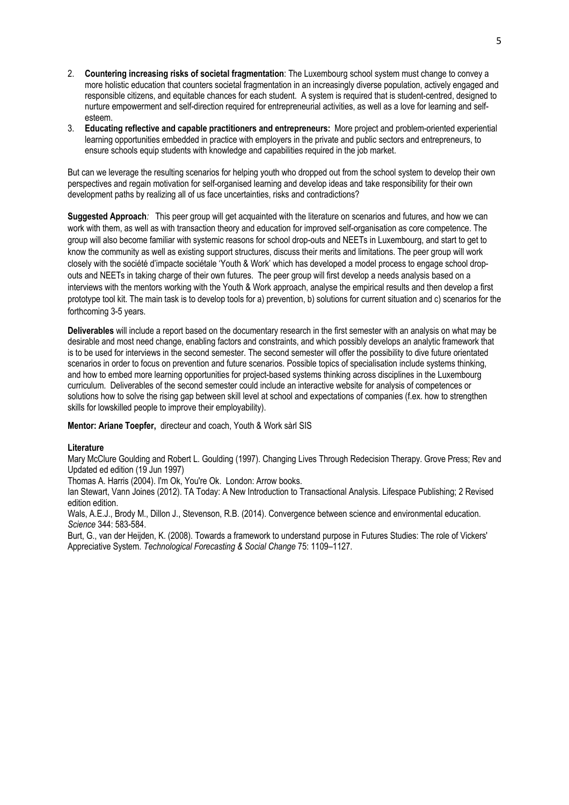- 2. **Countering increasing risks of societal fragmentation**: The Luxembourg school system must change to convey a more holistic education that counters societal fragmentation in an increasingly diverse population, actively engaged and responsible citizens, and equitable chances for each student. A system is required that is student-centred, designed to nurture empowerment and self-direction required for entrepreneurial activities, as well as a love for learning and selfesteem.
- 3. **Educating reflective and capable practitioners and entrepreneurs:** More project and problem-oriented experiential learning opportunities embedded in practice with employers in the private and public sectors and entrepreneurs, to ensure schools equip students with knowledge and capabilities required in the job market.

But can we leverage the resulting scenarios for helping youth who dropped out from the school system to develop their own perspectives and regain motivation for self-organised learning and develop ideas and take responsibility for their own development paths by realizing all of us face uncertainties, risks and contradictions?

**Suggested Approach***:* This peer group will get acquainted with the literature on scenarios and futures, and how we can work with them, as well as with transaction theory and education for improved self-organisation as core competence. The group will also become familiar with systemic reasons for school drop-outs and NEETs in Luxembourg, and start to get to know the community as well as existing support structures, discuss their merits and limitations. The peer group will work closely with the société d'impacte sociétale 'Youth & Work' which has developed a model process to engage school dropouts and NEETs in taking charge of their own futures. The peer group will first develop a needs analysis based on a interviews with the mentors working with the Youth & Work approach, analyse the empirical results and then develop a first prototype tool kit. The main task is to develop tools for a) prevention, b) solutions for current situation and c) scenarios for the forthcoming 3-5 years.

**Deliverables** will include a report based on the documentary research in the first semester with an analysis on what may be desirable and most need change, enabling factors and constraints, and which possibly develops an analytic framework that is to be used for interviews in the second semester. The second semester will offer the possibility to dive future orientated scenarios in order to focus on prevention and future scenarios. Possible topics of specialisation include systems thinking, and how to embed more learning opportunities for project-based systems thinking across disciplines in the Luxembourg curriculum. Deliverables of the second semester could include an interactive website for analysis of competences or solutions how to solve the rising gap between skill level at school and expectations of companies (f.ex. how to strengthen skills for lowskilled people to improve their employability).

**Mentor: Ariane Toepfer,** directeur and coach, Youth & Work sàrl SIS

#### **Literature**

Mary McClure Goulding and Robert L. Goulding (1997). Changing Lives Through Redecision Therapy. Grove Press; Rev and Updated ed edition (19 Jun 1997)

Thomas A. Harris (2004). I'm Ok, You're Ok. London: Arrow books.

Ian Stewart, Vann Joines (2012). TA Today: A New Introduction to Transactional Analysis. Lifespace Publishing; 2 Revised edition edition.

Wals, A.E.J., Brody M., Dillon J., Stevenson, R.B. (2014). Convergence between science and environmental education. *Science* 344: 583-584.

Burt, G., van der Heijden, K. (2008). Towards a framework to understand purpose in Futures Studies: The role of Vickers' Appreciative System. *Technological Forecasting & Social Change* 75: 1109–1127.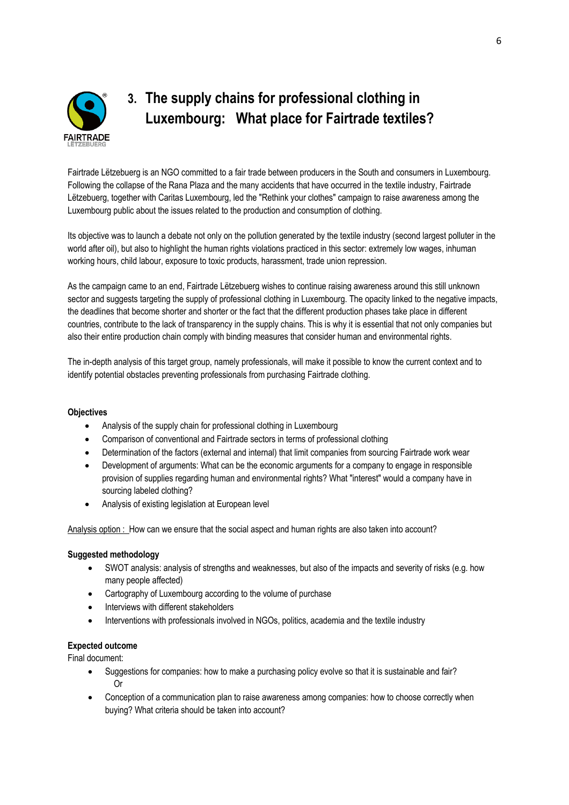

## **3. The supply chains for professional clothing in Luxembourg: What place for Fairtrade textiles?**

Fairtrade Lëtzebuerg is an NGO committed to a fair trade between producers in the South and consumers in Luxembourg. Following the collapse of the Rana Plaza and the many accidents that have occurred in the textile industry, Fairtrade Lëtzebuerg, together with Caritas Luxembourg, led the "Rethink your clothes" campaign to raise awareness among the Luxembourg public about the issues related to the production and consumption of clothing.

Its objective was to launch a debate not only on the pollution generated by the textile industry (second largest polluter in the world after oil), but also to highlight the human rights violations practiced in this sector: extremely low wages, inhuman working hours, child labour, exposure to toxic products, harassment, trade union repression.

As the campaign came to an end, Fairtrade Lëtzebuerg wishes to continue raising awareness around this still unknown sector and suggests targeting the supply of professional clothing in Luxembourg. The opacity linked to the negative impacts, the deadlines that become shorter and shorter or the fact that the different production phases take place in different countries, contribute to the lack of transparency in the supply chains. This is why it is essential that not only companies but also their entire production chain comply with binding measures that consider human and environmental rights.

The in-depth analysis of this target group, namely professionals, will make it possible to know the current context and to identify potential obstacles preventing professionals from purchasing Fairtrade clothing.

#### **Objectives**

- Analysis of the supply chain for professional clothing in Luxembourg
- Comparison of conventional and Fairtrade sectors in terms of professional clothing
- Determination of the factors (external and internal) that limit companies from sourcing Fairtrade work wear
- Development of arguments: What can be the economic arguments for a company to engage in responsible provision of supplies regarding human and environmental rights? What "interest" would a company have in sourcing labeled clothing?
- Analysis of existing legislation at European level

Analysis option : How can we ensure that the social aspect and human rights are also taken into account?

#### **Suggested methodology**

- SWOT analysis: analysis of strengths and weaknesses, but also of the impacts and severity of risks (e.g. how many people affected)
- Cartography of Luxembourg according to the volume of purchase
- Interviews with different stakeholders
- Interventions with professionals involved in NGOs, politics, academia and the textile industry

#### **Expected outcome**

Final document:

- Suggestions for companies: how to make a purchasing policy evolve so that it is sustainable and fair? Or
- Conception of a communication plan to raise awareness among companies: how to choose correctly when buying? What criteria should be taken into account?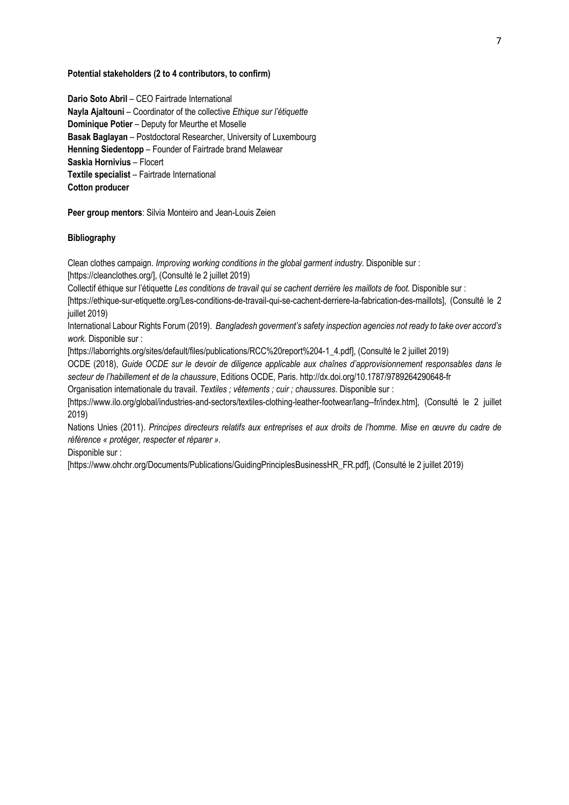#### **Potential stakeholders (2 to 4 contributors, to confirm)**

**Dario Soto Abril** – CEO Fairtrade International **Nayla Ajaltouni** – Coordinator of the collective *Ethique sur l'étiquette* **Dominique Potier** – Deputy for Meurthe et Moselle **Basak Baglayan** – Postdoctoral Researcher, University of Luxembourg **Henning Siedentopp** – Founder of Fairtrade brand Melawear **Saskia Hornivius** – Flocert **Textile specialist** – Fairtrade International **Cotton producer** 

**Peer group mentors**: Silvia Monteiro and Jean-Louis Zeien

#### **Bibliography**

Clean clothes campaign. *Improving working conditions in the global garment industry.* Disponible sur : [https://cleanclothes.org/], (Consulté le 2 juillet 2019)

Collectif éthique sur l'étiquette *Les conditions de travail qui se cachent derrière les maillots de foot.* Disponible sur :

[https://ethique-sur-etiquette.org/Les-conditions-de-travail-qui-se-cachent-derriere-la-fabrication-des-maillots], (Consulté le 2 juillet 2019)

International Labour Rights Forum (2019). *Bangladesh goverment's safety inspection agencies not ready to take over accord's work.* Disponible sur :

[https://laborrights.org/sites/default/files/publications/RCC%20report%204-1\_4.pdf], (Consulté le 2 juillet 2019)

OCDE (2018), *Guide OCDE sur le devoir de diligence applicable aux chaînes d'approvisionnement responsables dans le secteur de l'habillement et de la chaussure*, Editions OCDE, Paris. http://dx.doi.org/10.1787/9789264290648-fr

Organisation internationale du travail. *Textiles ; vêtements ; cuir ; chaussures.* Disponible sur :

[https://www.ilo.org/global/industries-and-sectors/textiles-clothing-leather-footwear/lang--fr/index.htm], (Consulté le 2 juillet 2019)

Nations Unies (2011). *Principes directeurs relatifs aux entreprises et aux droits de l'homme. Mise en œuvre du cadre de référence « protéger, respecter et réparer ».* 

Disponible sur :

[https://www.ohchr.org/Documents/Publications/GuidingPrinciplesBusinessHR\_FR.pdf], (Consulté le 2 juillet 2019)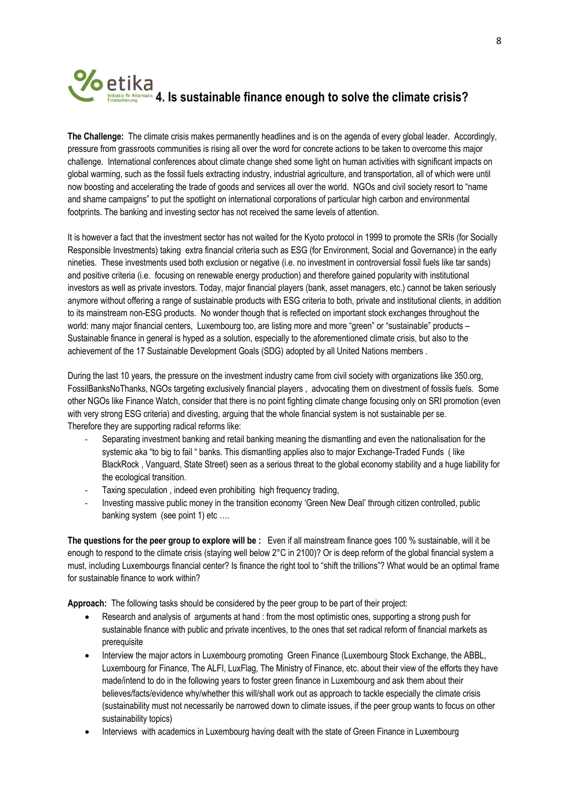# **4. Is sustainable finance enough to solve the climate crisis?**<br> **1. Is sustainable finance enough to solve the climate crisis?**

**The Challenge:** The climate crisis makes permanently headlines and is on the agenda of every global leader. Accordingly, pressure from grassroots communities is rising all over the word for concrete actions to be taken to overcome this major challenge. International conferences about climate change shed some light on human activities with significant impacts on global warming, such as the fossil fuels extracting industry, industrial agriculture, and transportation, all of which were until now boosting and accelerating the trade of goods and services all over the world. NGOs and civil society resort to "name and shame campaigns" to put the spotlight on international corporations of particular high carbon and environmental footprints. The banking and investing sector has not received the same levels of attention.

It is however a fact that the investment sector has not waited for the Kyoto protocol in 1999 to promote the SRIs (for Socially Responsible Investments) taking extra financial criteria such as ESG (for Environment, Social and Governance) in the early nineties. These investments used both exclusion or negative (i.e. no investment in controversial fossil fuels like tar sands) and positive criteria (i.e. focusing on renewable energy production) and therefore gained popularity with institutional investors as well as private investors. Today, major financial players (bank, asset managers, etc.) cannot be taken seriously anymore without offering a range of sustainable products with ESG criteria to both, private and institutional clients, in addition to its mainstream non-ESG products. No wonder though that is reflected on important stock exchanges throughout the world: many major financial centers, Luxembourg too, are listing more and more "green" or "sustainable" products -Sustainable finance in general is hyped as a solution, especially to the aforementioned climate crisis, but also to the achievement of the 17 Sustainable Development Goals (SDG) adopted by all United Nations members .

During the last 10 years, the pressure on the investment industry came from civil society with organizations like 350.org, FossilBanksNoThanks, NGOs targeting exclusively financial players , advocating them on divestment of fossils fuels. Some other NGOs like Finance Watch, consider that there is no point fighting climate change focusing only on SRI promotion (even with very strong ESG criteria) and divesting, arguing that the whole financial system is not sustainable per se. Therefore they are supporting radical reforms like:

- Separating investment banking and retail banking meaning the dismantling and even the nationalisation for the systemic aka "to big to fail " banks. This dismantling applies also to major Exchange-Traded Funds ( like BlackRock , Vanguard, State Street) seen as a serious threat to the global economy stability and a huge liability for the ecological transition.
- Taxing speculation , indeed even prohibiting high frequency trading,
- Investing massive public money in the transition economy 'Green New Deal' through citizen controlled, public banking system (see point 1) etc ....

**The questions for the peer group to explore will be :** Even if all mainstream finance goes 100 % sustainable, will it be enough to respond to the climate crisis (staying well below 2°C in 2100)? Or is deep reform of the global financial system a must, including Luxembourgs financial center? Is finance the right tool to "shift the trillions"? What would be an optimal frame for sustainable finance to work within?

**Approach:** The following tasks should be considered by the peer group to be part of their project:

- Research and analysis of arguments at hand : from the most optimistic ones, supporting a strong push for sustainable finance with public and private incentives, to the ones that set radical reform of financial markets as prerequisite
- Interview the major actors in Luxembourg promoting Green Finance (Luxembourg Stock Exchange, the ABBL, Luxembourg for Finance, The ALFI, LuxFlag, The Ministry of Finance, etc. about their view of the efforts they have made/intend to do in the following years to foster green finance in Luxembourg and ask them about their believes/facts/evidence why/whether this will/shall work out as approach to tackle especially the climate crisis (sustainability must not necessarily be narrowed down to climate issues, if the peer group wants to focus on other sustainability topics)
- Interviews with academics in Luxembourg having dealt with the state of Green Finance in Luxembourg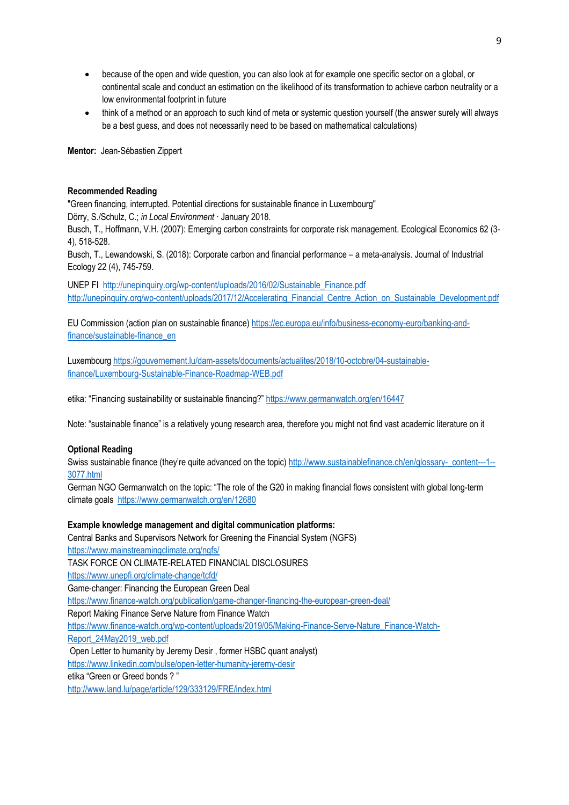- because of the open and wide question, you can also look at for example one specific sector on a global, or continental scale and conduct an estimation on the likelihood of its transformation to achieve carbon neutrality or a low environmental footprint in future
- think of a method or an approach to such kind of meta or systemic question yourself (the answer surely will always be a best guess, and does not necessarily need to be based on mathematical calculations)

**Mentor:** Jean-Sébastien Zippert

#### **Recommended Reading**

"Green financing, interrupted. Potential directions for sustainable finance in Luxembourg"

Dörry, S./Schulz, C.; *in Local Environment* · January 2018.

Busch, T., Hoffmann, V.H. (2007): Emerging carbon constraints for corporate risk management. Ecological Economics 62 (3- 4), 518-528.

Busch, T., Lewandowski, S. (2018): Corporate carbon and financial performance – a meta-analysis. Journal of Industrial Ecology 22 (4), 745-759.

UNEP FI http://unepinquiry.org/wp-content/uploads/2016/02/Sustainable\_Finance.pdf http://unepinguiry.org/wp-content/uploads/2017/12/Accelerating\_Financial\_Centre\_Action\_on\_Sustainable\_Development.pdf

EU Commission (action plan on sustainable finance) https://ec.europa.eu/info/business-economy-euro/banking-andfinance/sustainable-finance\_en

Luxembourg https://gouvernement.lu/dam-assets/documents/actualites/2018/10-octobre/04-sustainablefinance/Luxembourg-Sustainable-Finance-Roadmap-WEB.pdf

etika: "Financing sustainability or sustainable financing?" https://www.germanwatch.org/en/16447

Note: "sustainable finance" is a relatively young research area, therefore you might not find vast academic literature on it

#### **Optional Reading**

Swiss sustainable finance (they're quite advanced on the topic) http://www.sustainablefinance.ch/en/glossary-\_content---1--3077.html

German NGO Germanwatch on the topic: "The role of the G20 in making financial flows consistent with global long-term climate goals https://www.germanwatch.org/en/12680

#### **Example knowledge management and digital communication platforms:**

Central Banks and Supervisors Network for Greening the Financial System (NGFS)

https://www.mainstreamingclimate.org/ngfs/

TASK FORCE ON CLIMATE-RELATED FINANCIAL DISCLOSURES

https://www.unepfi.org/climate-change/tcfd/

Game-changer: Financing the European Green Deal

https://www.finance-watch.org/publication/game-changer-financing-the-european-green-deal/

Report Making Finance Serve Nature from Finance Watch

https://www.finance-watch.org/wp-content/uploads/2019/05/Making-Finance-Serve-Nature\_Finance-Watch-

Report\_24May2019\_web.pdf

Open Letter to humanity by Jeremy Desir , former HSBC quant analyst)

https://www.linkedin.com/pulse/open-letter-humanity-jeremy-desir

etika "Green or Greed bonds ? "

http://www.land.lu/page/article/129/333129/FRE/index.html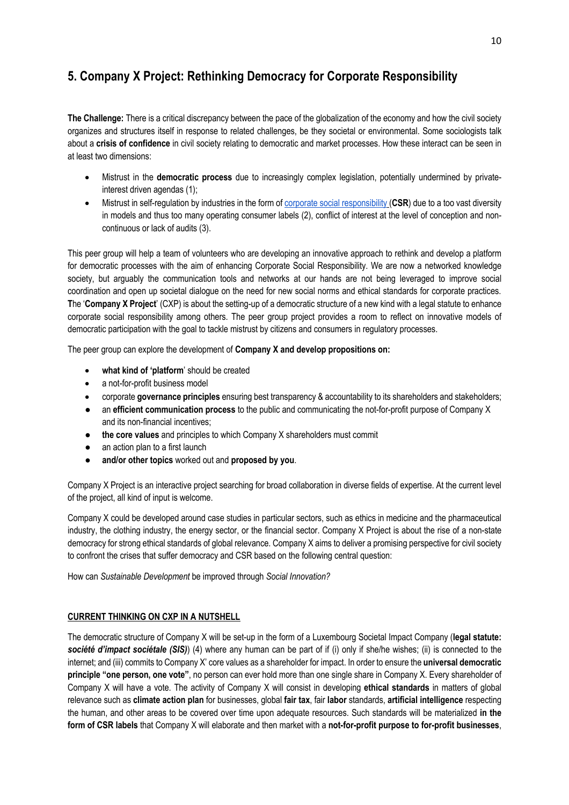## **5. Company X Project: Rethinking Democracy for Corporate Responsibility**

**The Challenge:** There is a critical discrepancy between the pace of the globalization of the economy and how the civil society organizes and structures itself in response to related challenges, be they societal or environmental. Some sociologists talk about a **crisis of confidence** in civil society relating to democratic and market processes. How these interact can be seen in at least two dimensions:

- Mistrust in the **democratic process** due to increasingly complex legislation, potentially undermined by privateinterest driven agendas (1);
- Mistrust in self-regulation by industries in the form of corporate social responsibility (CSR) due to a too vast diversity in models and thus too many operating consumer labels (2), conflict of interest at the level of conception and noncontinuous or lack of audits (3).

This peer group will help a team of volunteers who are developing an innovative approach to rethink and develop a platform for democratic processes with the aim of enhancing Corporate Social Responsibility. We are now a networked knowledge society, but arguably the communication tools and networks at our hands are not being leveraged to improve social coordination and open up societal dialogue on the need for new social norms and ethical standards for corporate practices. **T**he '**Company X Project**' (CXP) is about the setting-up of a democratic structure of a new kind with a legal statute to enhance corporate social responsibility among others. The peer group project provides a room to reflect on innovative models of democratic participation with the goal to tackle mistrust by citizens and consumers in regulatory processes.

The peer group can explore the development of **Company X and develop propositions on:**

- **what kind of 'platform**' should be created
- a not-for-profit business model
- corporate **governance principles** ensuring best transparency & accountability to its shareholders and stakeholders;
- an **efficient communication process** to the public and communicating the not-for-profit purpose of Company X and its non-financial incentives;
- **the core values** and principles to which Company X shareholders must commit
- an action plan to a first launch
- and/or other topics worked out and proposed by you.

Company X Project is an interactive project searching for broad collaboration in diverse fields of expertise. At the current level of the project, all kind of input is welcome.

Company X could be developed around case studies in particular sectors, such as ethics in medicine and the pharmaceutical industry, the clothing industry, the energy sector, or the financial sector. Company X Project is about the rise of a non-state democracy for strong ethical standards of global relevance. Company X aims to deliver a promising perspective for civil society to confront the crises that suffer democracy and CSR based on the following central question:

How can *Sustainable Development* be improved through *Social Innovation?*

#### **CURRENT THINKING ON CXP IN A NUTSHELL**

The democratic structure of Company X will be set-up in the form of a Luxembourg Societal Impact Company (**legal statute:**  *société d'impact sociétale (SIS)*) (4) where any human can be part of if (i) only if she/he wishes; (ii) is connected to the internet; and (iii) commits to Company X' core values as a shareholder for impact. In order to ensure the **universal democratic principle "one person, one vote"**, no person can ever hold more than one single share in Company X. Every shareholder of Company X will have a vote. The activity of Company X will consist in developing **ethical standards** in matters of global relevance such as **climate action plan** for businesses, global **fair tax**, fair **labor** standards, **artificial intelligence** respecting the human, and other areas to be covered over time upon adequate resources. Such standards will be materialized **in the form of CSR labels** that Company X will elaborate and then market with a **not-for-profit purpose to for-profit businesses**,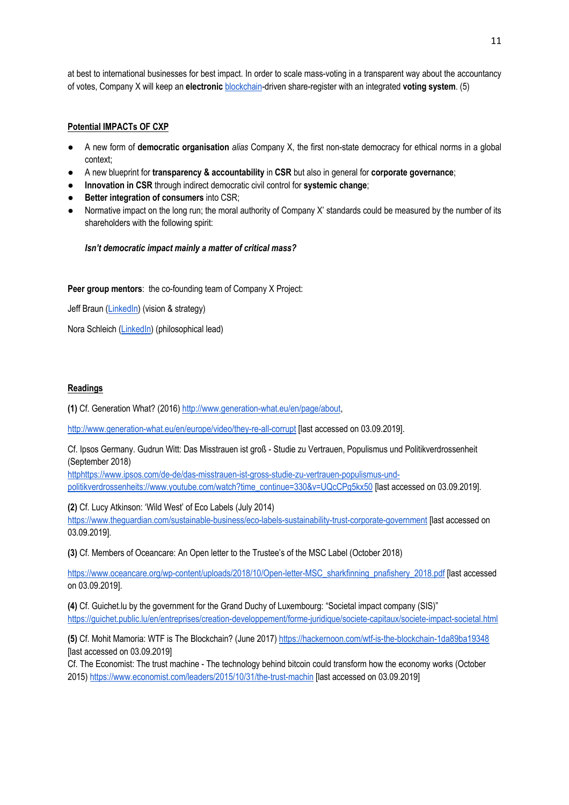at best to international businesses for best impact. In order to scale mass-voting in a transparent way about the accountancy of votes, Company X will keep an **electronic** blockchain-driven share-register with an integrated **voting system**. (5)

#### **Potential IMPACTs OF CXP**

- A new form of **democratic organisation** *alias* Company X, the first non-state democracy for ethical norms in a global context;
- A new blueprint for **transparency & accountability** in **CSR** but also in general for **corporate governance**;
- **Innovation in CSR** through indirect democratic civil control for **systemic change**;
- **Better integration of consumers into CSR;**
- Normative impact on the long run; the moral authority of Company X' standards could be measured by the number of its shareholders with the following spirit:

#### *Isn't democratic impact mainly a matter of critical mass?*

#### **Peer group mentors: the co-founding team of Company X Project:**

Jeff Braun (LinkedIn) (vision & strategy)

Nora Schleich (LinkedIn) (philosophical lead)

#### **Readings**

**(1)** Cf. Generation What? (2016) http://www.generation-what.eu/en/page/about,

http://www.generation-what.eu/en/europe/video/they-re-all-corrupt [last accessed on 03.09.2019].

Cf. Ipsos Germany. Gudrun Witt: Das Misstrauen ist groß - Studie zu Vertrauen, Populismus und Politikverdrossenheit (September 2018)

httphttps://www.ipsos.com/de-de/das-misstrauen-ist-gross-studie-zu-vertrauen-populismus-undpolitikverdrossenheits://www.youtube.com/watch?time\_continue=330&v=UQcCPg5kx50 [last accessed on 03.09.2019].

**(2)** Cf. Lucy Atkinson: 'Wild West' of Eco Labels (July 2014)

https://www.theguardian.com/sustainable-business/eco-labels-sustainability-trust-corporate-government [last accessed on 03.09.2019].

**(3)** Cf. Members of Oceancare: An Open letter to the Trustee's of the MSC Label (October 2018)

https://www.oceancare.org/wp-content/uploads/2018/10/Open-letter-MSC\_sharkfinning\_pnafishery\_2018.pdf [last accessed on 03.09.2019].

**(4)** Cf. Guichet.lu by the government for the Grand Duchy of Luxembourg: "Societal impact company (SIS)" https://guichet.public.lu/en/entreprises/creation-developpement/forme-juridique/societe-capitaux/societe-impact-societal.html

**(5)** Cf. Mohit Mamoria: WTF is The Blockchain? (June 2017) https://hackernoon.com/wtf-is-the-blockchain-1da89ba19348 [last accessed on 03.09.2019]

Cf. The Economist: The trust machine - The technology behind bitcoin could transform how the economy works (October 2015) https://www.economist.com/leaders/2015/10/31/the-trust-machin [last accessed on 03.09.2019]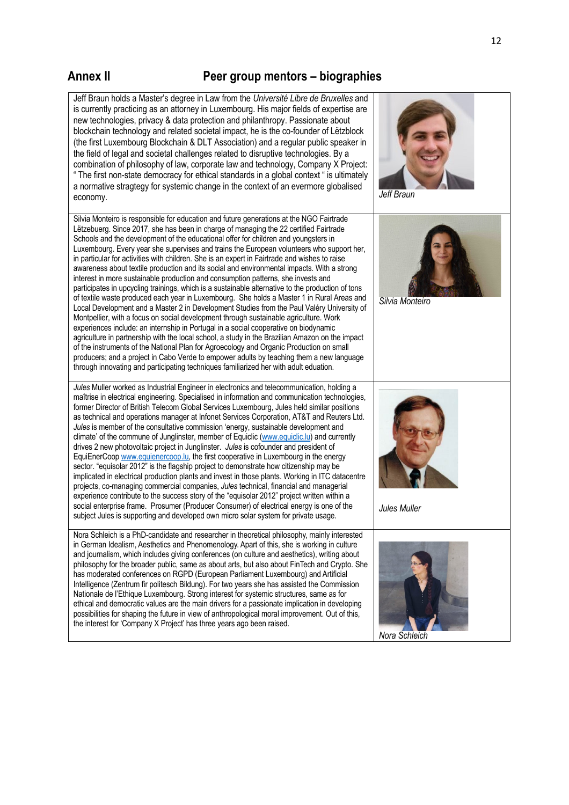### **Annex II Peer group mentors – biographies**



12